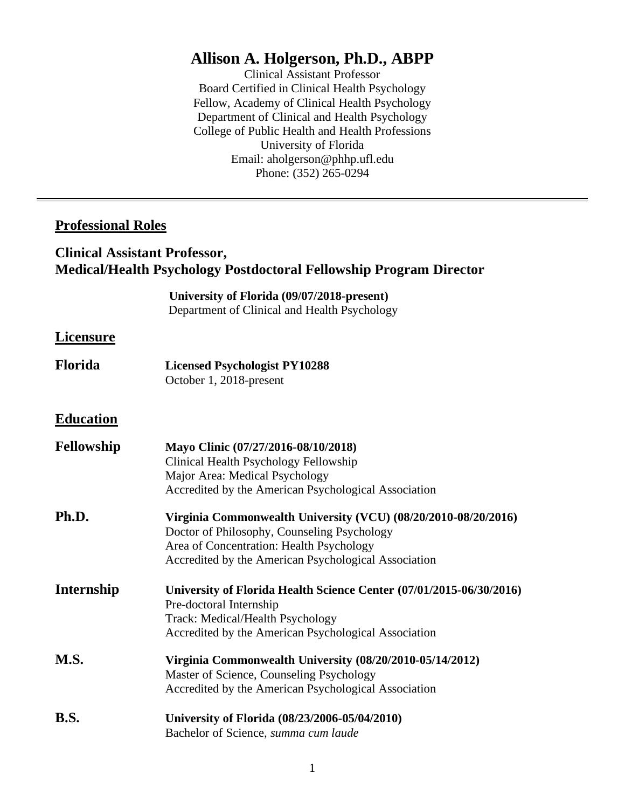# **Allison A. Holgerson, Ph.D., ABPP**

Clinical Assistant Professor Board Certified in Clinical Health Psychology Fellow, Academy of Clinical Health Psychology Department of Clinical and Health Psychology College of Public Health and Health Professions University of Florida Email: aholgerson@phhp.ufl.edu Phone: (352) 265-0294

# **Professional Roles**

# **Clinical Assistant Professor, Medical/Health Psychology Postdoctoral Fellowship Program Director**

**University of Florida (09/07/2018-present)** Department of Clinical and Health Psychology

# **Licensure**

**Florida Licensed Psychologist PY10288** October 1, 2018-present

# **Education**

| Fellowship  | Mayo Clinic (07/27/2016-08/10/2018)                                 |
|-------------|---------------------------------------------------------------------|
|             | Clinical Health Psychology Fellowship                               |
|             | Major Area: Medical Psychology                                      |
|             | Accredited by the American Psychological Association                |
| Ph.D.       | Virginia Commonwealth University (VCU) (08/20/2010-08/20/2016)      |
|             | Doctor of Philosophy, Counseling Psychology                         |
|             | Area of Concentration: Health Psychology                            |
|             | Accredited by the American Psychological Association                |
| Internship  | University of Florida Health Science Center (07/01/2015-06/30/2016) |
|             | Pre-doctoral Internship                                             |
|             | <b>Track: Medical/Health Psychology</b>                             |
|             | Accredited by the American Psychological Association                |
| <b>M.S.</b> | Virginia Commonwealth University (08/20/2010-05/14/2012)            |
|             | Master of Science, Counseling Psychology                            |
|             | Accredited by the American Psychological Association                |
| B.S.        | University of Florida (08/23/2006-05/04/2010)                       |
|             | Bachelor of Science, summa cum laude                                |
|             |                                                                     |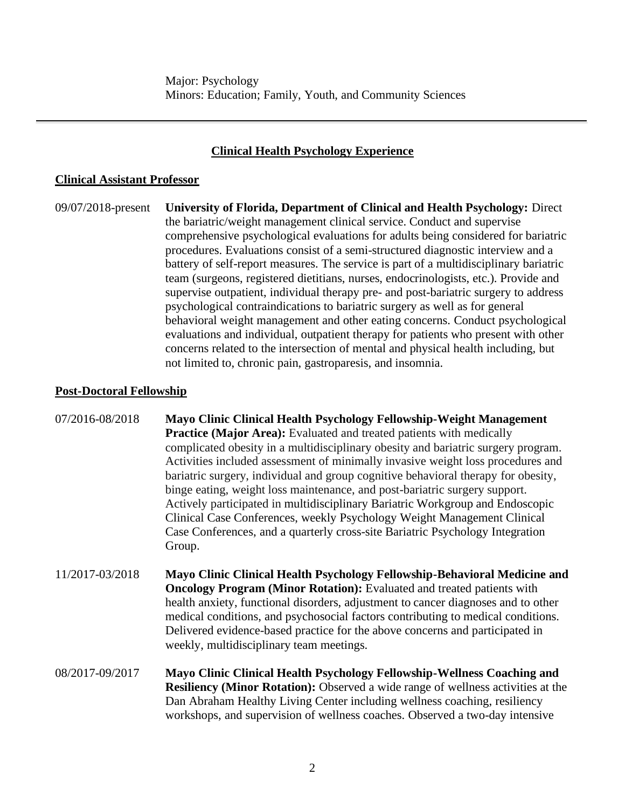# **Clinical Health Psychology Experience**

### **Clinical Assistant Professor**

09/07/2018-present **University of Florida, Department of Clinical and Health Psychology:** Direct the bariatric/weight management clinical service. Conduct and supervise comprehensive psychological evaluations for adults being considered for bariatric procedures. Evaluations consist of a semi-structured diagnostic interview and a battery of self-report measures. The service is part of a multidisciplinary bariatric team (surgeons, registered dietitians, nurses, endocrinologists, etc.). Provide and supervise outpatient, individual therapy pre- and post-bariatric surgery to address psychological contraindications to bariatric surgery as well as for general behavioral weight management and other eating concerns. Conduct psychological evaluations and individual, outpatient therapy for patients who present with other concerns related to the intersection of mental and physical health including, but not limited to, chronic pain, gastroparesis, and insomnia.

# **Post-Doctoral Fellowship**

07/2016-08/2018 **Mayo Clinic Clinical Health Psychology Fellowship-Weight Management Practice (Major Area):** Evaluated and treated patients with medically complicated obesity in a multidisciplinary obesity and bariatric surgery program. Activities included assessment of minimally invasive weight loss procedures and bariatric surgery, individual and group cognitive behavioral therapy for obesity, binge eating, weight loss maintenance, and post-bariatric surgery support. Actively participated in multidisciplinary Bariatric Workgroup and Endoscopic Clinical Case Conferences, weekly Psychology Weight Management Clinical Case Conferences, and a quarterly cross-site Bariatric Psychology Integration Group.

- 11/2017-03/2018 **Mayo Clinic Clinical Health Psychology Fellowship-Behavioral Medicine and Oncology Program (Minor Rotation):** Evaluated and treated patients with health anxiety, functional disorders, adjustment to cancer diagnoses and to other medical conditions, and psychosocial factors contributing to medical conditions. Delivered evidence-based practice for the above concerns and participated in weekly, multidisciplinary team meetings.
- 08/2017-09/2017 **Mayo Clinic Clinical Health Psychology Fellowship-Wellness Coaching and Resiliency (Minor Rotation):** Observed a wide range of wellness activities at the Dan Abraham Healthy Living Center including wellness coaching, resiliency workshops, and supervision of wellness coaches. Observed a two-day intensive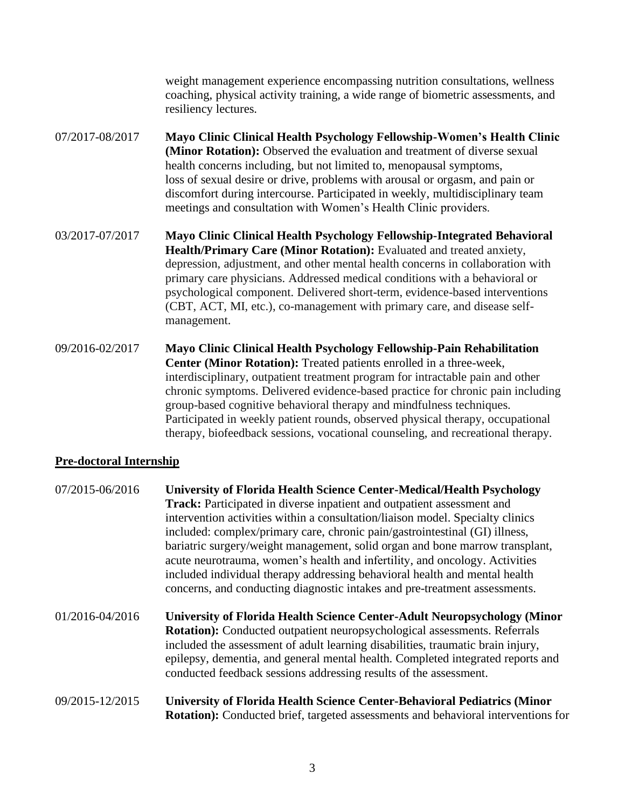weight management experience encompassing nutrition consultations, wellness coaching, physical activity training, a wide range of biometric assessments, and resiliency lectures.

- 07/2017-08/2017 **Mayo Clinic Clinical Health Psychology Fellowship-Women's Health Clinic (Minor Rotation):** Observed the evaluation and treatment of diverse sexual health concerns including, but not limited to, menopausal symptoms, loss of sexual desire or drive, problems with arousal or orgasm, and pain or discomfort during intercourse. Participated in weekly, multidisciplinary team meetings and consultation with Women's Health Clinic providers.
- 03/2017-07/2017 **Mayo Clinic Clinical Health Psychology Fellowship-Integrated Behavioral Health/Primary Care (Minor Rotation):** Evaluated and treated anxiety, depression, adjustment, and other mental health concerns in collaboration with primary care physicians. Addressed medical conditions with a behavioral or psychological component. Delivered short-term, evidence-based interventions (CBT, ACT, MI, etc.), co-management with primary care, and disease selfmanagement.
- 09/2016-02/2017 **Mayo Clinic Clinical Health Psychology Fellowship-Pain Rehabilitation Center (Minor Rotation):** Treated patients enrolled in a three-week, interdisciplinary, outpatient treatment program for intractable pain and other chronic symptoms. Delivered evidence-based practice for chronic pain including group-based cognitive behavioral therapy and mindfulness techniques. Participated in weekly patient rounds, observed physical therapy, occupational therapy, biofeedback sessions, vocational counseling, and recreational therapy.

# **Pre-doctoral Internship**

| 07/2015-06/2016 | <b>University of Florida Health Science Center-Medical/Health Psychology</b><br><b>Track:</b> Participated in diverse inpatient and outpatient assessment and<br>intervention activities within a consultation/liaison model. Specialty clinics<br>included: complex/primary care, chronic pain/gastrointestinal (GI) illness,<br>bariatric surgery/weight management, solid organ and bone marrow transplant,<br>acute neurotrauma, women's health and infertility, and oncology. Activities<br>included individual therapy addressing behavioral health and mental health<br>concerns, and conducting diagnostic intakes and pre-treatment assessments. |
|-----------------|-----------------------------------------------------------------------------------------------------------------------------------------------------------------------------------------------------------------------------------------------------------------------------------------------------------------------------------------------------------------------------------------------------------------------------------------------------------------------------------------------------------------------------------------------------------------------------------------------------------------------------------------------------------|
| 01/2016-04/2016 | <b>University of Florida Health Science Center-Adult Neuropsychology (Minor</b><br><b>Rotation:</b> Conducted outpatient neuropsychological assessments. Referrals<br>included the assessment of adult learning disabilities, traumatic brain injury,<br>epilepsy, dementia, and general mental health. Completed integrated reports and<br>conducted feedback sessions addressing results of the assessment.                                                                                                                                                                                                                                             |
| 09/2015-12/2015 | <b>University of Florida Health Science Center-Behavioral Pediatrics (Minor</b><br><b>Rotation:</b> Conducted brief, targeted assessments and behavioral interventions for                                                                                                                                                                                                                                                                                                                                                                                                                                                                                |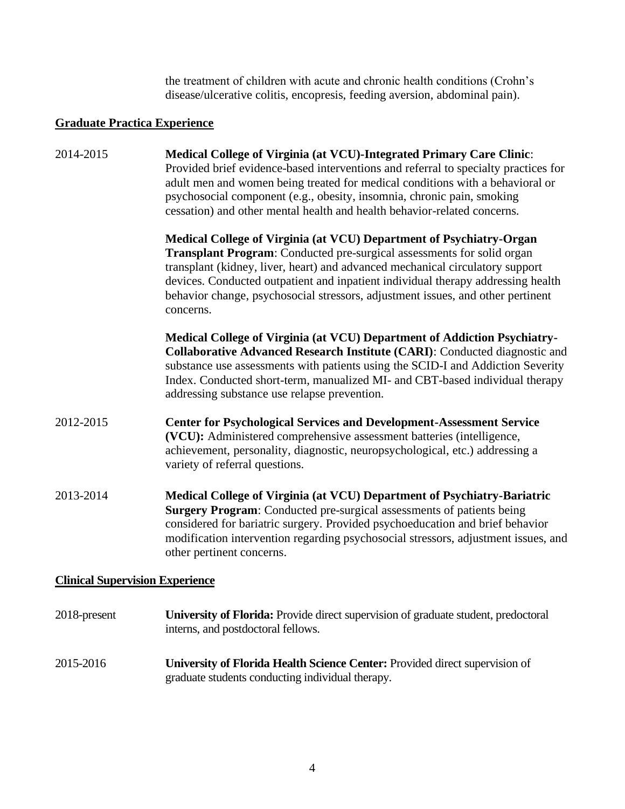the treatment of children with acute and chronic health conditions (Crohn's disease/ulcerative colitis, encopresis, feeding aversion, abdominal pain).

# **Graduate Practica Experience**

| 2014-2015                              | Medical College of Virginia (at VCU)-Integrated Primary Care Clinic:<br>Provided brief evidence-based interventions and referral to specialty practices for<br>adult men and women being treated for medical conditions with a behavioral or<br>psychosocial component (e.g., obesity, insomnia, chronic pain, smoking<br>cessation) and other mental health and health behavior-related concerns.                        |
|----------------------------------------|---------------------------------------------------------------------------------------------------------------------------------------------------------------------------------------------------------------------------------------------------------------------------------------------------------------------------------------------------------------------------------------------------------------------------|
|                                        | Medical College of Virginia (at VCU) Department of Psychiatry-Organ<br><b>Transplant Program:</b> Conducted pre-surgical assessments for solid organ<br>transplant (kidney, liver, heart) and advanced mechanical circulatory support<br>devices. Conducted outpatient and inpatient individual therapy addressing health<br>behavior change, psychosocial stressors, adjustment issues, and other pertinent<br>concerns. |
|                                        | Medical College of Virginia (at VCU) Department of Addiction Psychiatry-<br>Collaborative Advanced Research Institute (CARI): Conducted diagnostic and<br>substance use assessments with patients using the SCID-I and Addiction Severity<br>Index. Conducted short-term, manualized MI- and CBT-based individual therapy<br>addressing substance use relapse prevention.                                                 |
| 2012-2015                              | <b>Center for Psychological Services and Development-Assessment Service</b><br>(VCU): Administered comprehensive assessment batteries (intelligence,<br>achievement, personality, diagnostic, neuropsychological, etc.) addressing a<br>variety of referral questions.                                                                                                                                                    |
| 2013-2014                              | Medical College of Virginia (at VCU) Department of Psychiatry-Bariatric<br><b>Surgery Program:</b> Conducted pre-surgical assessments of patients being<br>considered for bariatric surgery. Provided psychoeducation and brief behavior<br>modification intervention regarding psychosocial stressors, adjustment issues, and<br>other pertinent concerns.                                                               |
| <b>Clinical Supervision Experience</b> |                                                                                                                                                                                                                                                                                                                                                                                                                           |
| 2018-present                           | University of Florida: Provide direct supervision of graduate student, predoctoral<br>interns, and postdoctoral fellows.                                                                                                                                                                                                                                                                                                  |

2015-2016 **University of Florida Health Science Center:** Provided direct supervision of graduate students conducting individual therapy.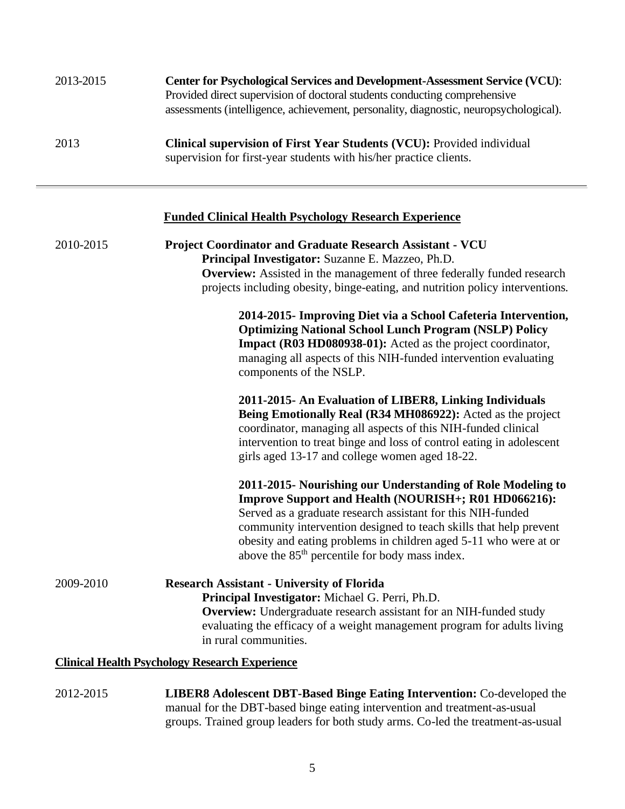| 2013-2015 | <b>Center for Psychological Services and Development-Assessment Service (VCU):</b><br>Provided direct supervision of doctoral students conducting comprehensive<br>assessments (intelligence, achievement, personality, diagnostic, neuropsychological). |
|-----------|----------------------------------------------------------------------------------------------------------------------------------------------------------------------------------------------------------------------------------------------------------|
| 2013      | <b>Clinical supervision of First Year Students (VCU):</b> Provided individual<br>supervision for first-year students with his/her practice clients.                                                                                                      |

# **Funded Clinical Health Psychology Research Experience**

| 2010-2015 | <b>Project Coordinator and Graduate Research Assistant - VCU</b><br>Principal Investigator: Suzanne E. Mazzeo, Ph.D.<br><b>Overview:</b> Assisted in the management of three federally funded research<br>projects including obesity, binge-eating, and nutrition policy interventions.                                                                                                   |
|-----------|-------------------------------------------------------------------------------------------------------------------------------------------------------------------------------------------------------------------------------------------------------------------------------------------------------------------------------------------------------------------------------------------|
|           | 2014-2015- Improving Diet via a School Cafeteria Intervention,<br><b>Optimizing National School Lunch Program (NSLP) Policy</b><br>Impact (R03 HD080938-01): Acted as the project coordinator,<br>managing all aspects of this NIH-funded intervention evaluating<br>components of the NSLP.                                                                                              |
|           | 2011-2015- An Evaluation of LIBER8, Linking Individuals<br>Being Emotionally Real (R34 MH086922): Acted as the project<br>coordinator, managing all aspects of this NIH-funded clinical<br>intervention to treat binge and loss of control eating in adolescent<br>girls aged 13-17 and college women aged 18-22.                                                                         |
|           | 2011-2015- Nourishing our Understanding of Role Modeling to<br>Improve Support and Health (NOURISH+; R01 HD066216):<br>Served as a graduate research assistant for this NIH-funded<br>community intervention designed to teach skills that help prevent<br>obesity and eating problems in children aged 5-11 who were at or<br>above the 85 <sup>th</sup> percentile for body mass index. |
| 2009-2010 | <b>Research Assistant - University of Florida</b><br>Principal Investigator: Michael G. Perri, Ph.D.<br><b>Overview:</b> Undergraduate research assistant for an NIH-funded study<br>evaluating the efficacy of a weight management program for adults living<br>in rural communities.                                                                                                    |
|           | <b>Clinical Health Psychology Research Experience</b>                                                                                                                                                                                                                                                                                                                                     |

2012-2015 **LIBER8 Adolescent DBT-Based Binge Eating Intervention:** Co-developed the manual for the DBT-based binge eating intervention and treatment-as-usual groups. Trained group leaders for both study arms. Co-led the treatment-as-usual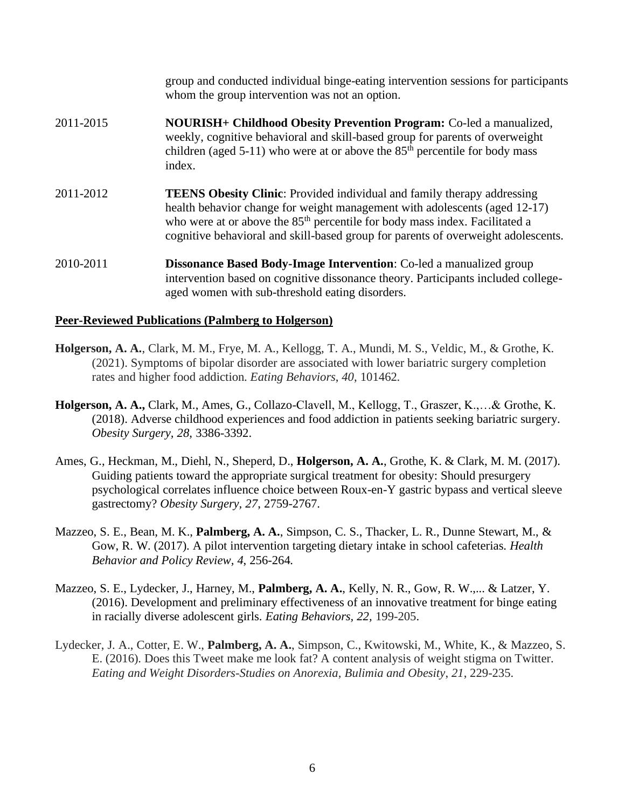group and conducted individual binge-eating intervention sessions for participants whom the group intervention was not an option. 2011-2015 **NOURISH+ Childhood Obesity Prevention Program:** Co-led a manualized, weekly, cognitive behavioral and skill-based group for parents of overweight children (aged 5-11) who were at or above the  $85<sup>th</sup>$  percentile for body mass index. 2011-2012 **TEENS Obesity Clinic**: Provided individual and family therapy addressing health behavior change for weight management with adolescents (aged 12-17) who were at or above the 85<sup>th</sup> percentile for body mass index. Facilitated a cognitive behavioral and skill-based group for parents of overweight adolescents. 2010-2011 **Dissonance Based Body-Image Intervention**: Co-led a manualized group intervention based on cognitive dissonance theory. Participants included collegeaged women with sub-threshold eating disorders.

#### **Peer-Reviewed Publications (Palmberg to Holgerson)**

- **Holgerson, A. A.**, Clark, M. M., Frye, M. A., Kellogg, T. A., Mundi, M. S., Veldic, M., & Grothe, K. (2021). Symptoms of bipolar disorder are associated with lower bariatric surgery completion rates and higher food addiction. *Eating Behaviors*, *40*, 101462.
- **Holgerson, A. A.,** Clark, M., Ames, G., Collazo-Clavell, M., Kellogg, T., Graszer, K.,…& Grothe, K. (2018). Adverse childhood experiences and food addiction in patients seeking bariatric surgery. *Obesity Surgery, 28*, 3386-3392.
- Ames, G., Heckman, M., Diehl, N., Sheperd, D., **Holgerson, A. A.**, Grothe, K. & Clark, M. M. (2017). Guiding patients toward the appropriate surgical treatment for obesity: Should presurgery psychological correlates influence choice between Roux-en-Y gastric bypass and vertical sleeve gastrectomy? *Obesity Surgery, 27*, 2759-2767.
- Mazzeo, S. E., Bean, M. K., **Palmberg, A. A.**, Simpson, C. S., Thacker, L. R., Dunne Stewart, M., & Gow, R. W. (2017). A pilot intervention targeting dietary intake in school cafeterias. *Health Behavior and Policy Review, 4*, 256-264*.*
- Mazzeo, S. E., Lydecker, J., Harney, M., **Palmberg, A. A.**, Kelly, N. R., Gow, R. W.,... & Latzer, Y. (2016). Development and preliminary effectiveness of an innovative treatment for binge eating in racially diverse adolescent girls. *Eating Behaviors, 22,* 199-205.
- Lydecker, J. A., Cotter, E. W., **Palmberg, A. A.**, Simpson, C., Kwitowski, M., White, K., & Mazzeo, S. E. (2016). Does this Tweet make me look fat? A content analysis of weight stigma on Twitter. *Eating and Weight Disorders-Studies on Anorexia, Bulimia and Obesity*, *21*, 229-235.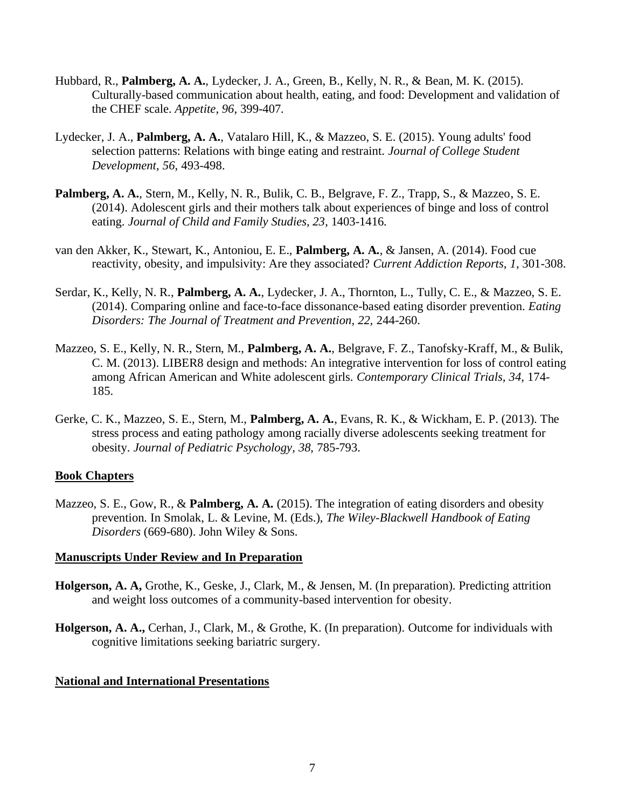- Hubbard, R., **Palmberg, A. A.**, Lydecker, J. A., Green, B., Kelly, N. R., & Bean, M. K. (2015). Culturally-based communication about health, eating, and food: Development and validation of the CHEF scale. *Appetite, 96*, 399-407*.*
- Lydecker, J. A., **Palmberg, A. A.**, Vatalaro Hill, K., & Mazzeo, S. E. (2015). Young adults' food selection patterns: Relations with binge eating and restraint. *Journal of College Student Development*, *56*, 493-498.
- **Palmberg, A. A.**, Stern, M., Kelly, N. R., Bulik, C. B., Belgrave, F. Z., Trapp, S., & Mazzeo, S. E. (2014). Adolescent girls and their mothers talk about experiences of binge and loss of control eating. *Journal of Child and Family Studies, 23*, 1403-1416*.*
- van den Akker, K., Stewart, K., Antoniou, E. E., **Palmberg, A. A.**, & Jansen, A. (2014). Food cue reactivity, obesity, and impulsivity: Are they associated? *Current Addiction Reports*, *1*, 301-308.
- Serdar, K., Kelly, N. R., **Palmberg, A. A.**, Lydecker, J. A., Thornton, L., Tully, C. E., & Mazzeo, S. E. (2014). Comparing online and face-to-face dissonance-based eating disorder prevention. *Eating Disorders: The Journal of Treatment and Prevention, 22,* 244-260.
- Mazzeo, S. E., Kelly, N. R., Stern, M., **Palmberg, A. A.**, Belgrave, F. Z., Tanofsky-Kraff, M., & Bulik, C. M. (2013). LIBER8 design and methods: An integrative intervention for loss of control eating among African American and White adolescent girls. *Contemporary Clinical Trials, 34,* 174- 185.
- Gerke, C. K., Mazzeo, S. E., Stern, M., **Palmberg, A. A.**, Evans, R. K., & Wickham, E. P. (2013). The stress process and eating pathology among racially diverse adolescents seeking treatment for obesity. *Journal of Pediatric Psychology, 38,* 785-793.

#### **Book Chapters**

Mazzeo, S. E., Gow, R., & **Palmberg, A. A.** (2015). The integration of eating disorders and obesity prevention*.* In Smolak, L. & Levine, M. (Eds.), *The Wiley-Blackwell Handbook of Eating Disorders* (669-680). John Wiley & Sons.

#### **Manuscripts Under Review and In Preparation**

- **Holgerson, A. A,** Grothe, K., Geske, J., Clark, M., & Jensen, M. (In preparation). Predicting attrition and weight loss outcomes of a community-based intervention for obesity.
- **Holgerson, A. A.,** Cerhan, J., Clark, M., & Grothe, K. (In preparation). Outcome for individuals with cognitive limitations seeking bariatric surgery.

#### **National and International Presentations**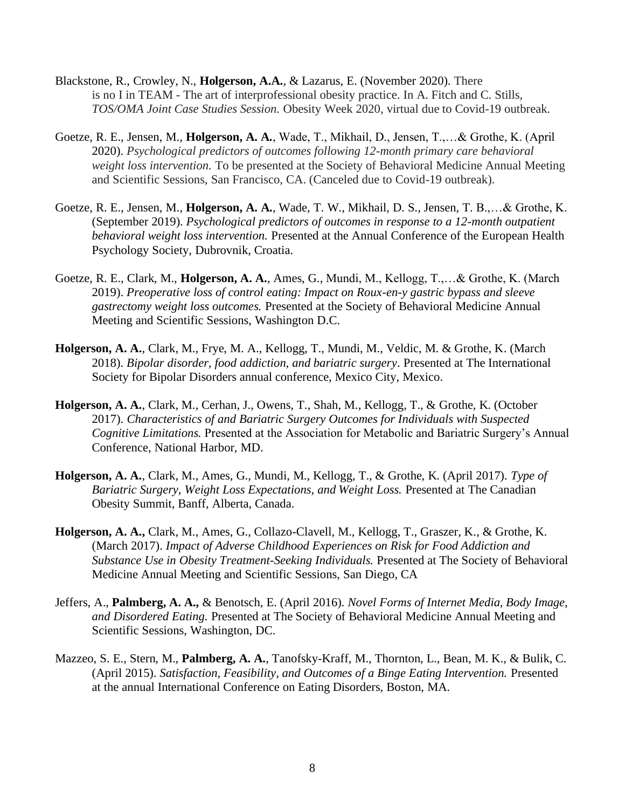- Blackstone, R., Crowley, N., **Holgerson, A.A.**, & Lazarus, E. (November 2020). There is no I in TEAM - The art of interprofessional obesity practice. In A. Fitch and C. Stills, *TOS/OMA Joint Case Studies Session.* Obesity Week 2020, virtual due to Covid-19 outbreak.
- Goetze, R. E., Jensen, M., **Holgerson, A. A.**, Wade, T., Mikhail, D., Jensen, T.,…& Grothe, K. (April 2020). *Psychological predictors of outcomes following 12-month primary care behavioral weight loss intervention.* To be presented at the Society of Behavioral Medicine Annual Meeting and Scientific Sessions, San Francisco, CA. (Canceled due to Covid-19 outbreak).
- Goetze, R. E., Jensen, M., **Holgerson, A. A.**, Wade, T. W., Mikhail, D. S., Jensen, T. B.,…& Grothe, K. (September 2019). *Psychological predictors of outcomes in response to a 12-month outpatient behavioral weight loss intervention.* Presented at the Annual Conference of the European Health Psychology Society, Dubrovnik, Croatia.
- Goetze, R. E., Clark, M., **Holgerson, A. A.**, Ames, G., Mundi, M., Kellogg, T.,…& Grothe, K. (March 2019). *Preoperative loss of control eating: Impact on Roux-en-y gastric bypass and sleeve gastrectomy weight loss outcomes.* Presented at the Society of Behavioral Medicine Annual Meeting and Scientific Sessions, Washington D.C.
- **Holgerson, A. A.**, Clark, M., Frye, M. A., Kellogg, T., Mundi, M., Veldic, M. & Grothe, K. (March 2018). *Bipolar disorder, food addiction, and bariatric surgery*. Presented at The International Society for Bipolar Disorders annual conference, Mexico City, Mexico.
- **Holgerson, A. A.**, Clark, M., Cerhan, J., Owens, T., Shah, M., Kellogg, T., & Grothe, K. (October 2017). *Characteristics of and Bariatric Surgery Outcomes for Individuals with Suspected Cognitive Limitations.* Presented at the Association for Metabolic and Bariatric Surgery's Annual Conference, National Harbor, MD.
- **Holgerson, A. A.**, Clark, M., Ames, G., Mundi, M., Kellogg, T., & Grothe, K. (April 2017). *Type of Bariatric Surgery, Weight Loss Expectations, and Weight Loss.* Presented at The Canadian Obesity Summit, Banff, Alberta, Canada.
- **Holgerson, A. A.,** Clark, M., Ames, G., Collazo-Clavell, M., Kellogg, T., Graszer, K., & Grothe, K. (March 2017). *Impact of Adverse Childhood Experiences on Risk for Food Addiction and Substance Use in Obesity Treatment-Seeking Individuals.* Presented at The Society of Behavioral Medicine Annual Meeting and Scientific Sessions, San Diego, CA
- Jeffers, A., **Palmberg, A. A.,** & Benotsch, E. (April 2016). *Novel Forms of Internet Media, Body Image, and Disordered Eating.* Presented at The Society of Behavioral Medicine Annual Meeting and Scientific Sessions, Washington, DC.
- Mazzeo, S. E., Stern, M., **Palmberg, A. A.**, Tanofsky-Kraff, M., Thornton, L., Bean, M. K., & Bulik, C. (April 2015). *Satisfaction, Feasibility, and Outcomes of a Binge Eating Intervention.* Presented at the annual International Conference on Eating Disorders, Boston, MA.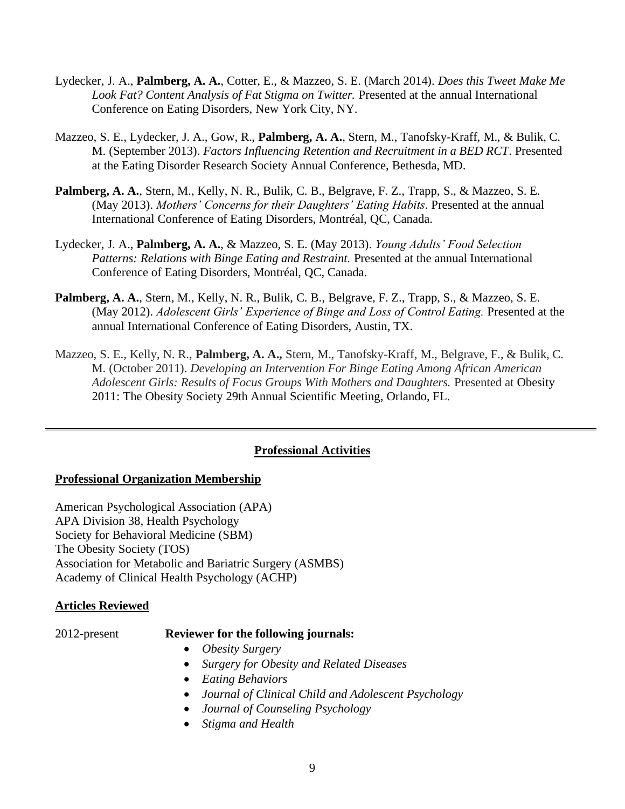- Lydecker, J. A., **Palmberg, A. A.**, Cotter, E., & Mazzeo, S. E. (March 2014). *Does this Tweet Make Me Look Fat? Content Analysis of Fat Stigma on Twitter.* Presented at the annual International Conference on Eating Disorders, New York City, NY.
- Mazzeo, S. E., Lydecker, J. A., Gow, R., **Palmberg, A. A.**, Stern, M., Tanofsky-Kraff, M., & Bulik, C. M. (September 2013). *Factors Influencing Retention and Recruitment in a BED RCT*. Presented at the Eating Disorder Research Society Annual Conference, Bethesda, MD.
- **Palmberg, A. A.**, Stern, M., Kelly, N. R., Bulik, C. B., Belgrave, F. Z., Trapp, S., & Mazzeo, S. E. (May 2013). *Mothers' Concerns for their Daughters' Eating Habits*. Presented at the annual International Conference of Eating Disorders, Montréal, QC, Canada.
- Lydecker, J. A., **Palmberg, A. A.**, & Mazzeo, S. E. (May 2013). *Young Adults' Food Selection*  Patterns: Relations with Binge Eating and Restraint. Presented at the annual International Conference of Eating Disorders, Montréal, QC, Canada.
- **Palmberg, A. A.**, Stern, M., Kelly, N. R., Bulik, C. B., Belgrave, F. Z., Trapp, S., & Mazzeo, S. E. (May 2012). *Adolescent Girls' Experience of Binge and Loss of Control Eating.* Presented at the annual International Conference of Eating Disorders, Austin, TX.
- Mazzeo, S. E., Kelly, N. R., **Palmberg, A. A.,** Stern, M., Tanofsky-Kraff, M., Belgrave, F., & Bulik, C. M. (October 2011). *Developing an Intervention For Binge Eating Among African American Adolescent Girls: Results of Focus Groups With Mothers and Daughters.* Presented at Obesity 2011: The Obesity Society 29th Annual Scientific Meeting, Orlando, FL.

# **Professional Activities**

# **Professional Organization Membership**

American Psychological Association (APA) APA Division 38, Health Psychology Society for Behavioral Medicine (SBM) The Obesity Society (TOS) Association for Metabolic and Bariatric Surgery (ASMBS) Academy of Clinical Health Psychology (ACHP)

# **Articles Reviewed**

# 2012-present **Reviewer for the following journals:**

- *Obesity Surgery*
- *Surgery for Obesity and Related Diseases*
- *Eating Behaviors*
- *Journal of Clinical Child and Adolescent Psychology*
- *Journal of Counseling Psychology*
- *Stigma and Health*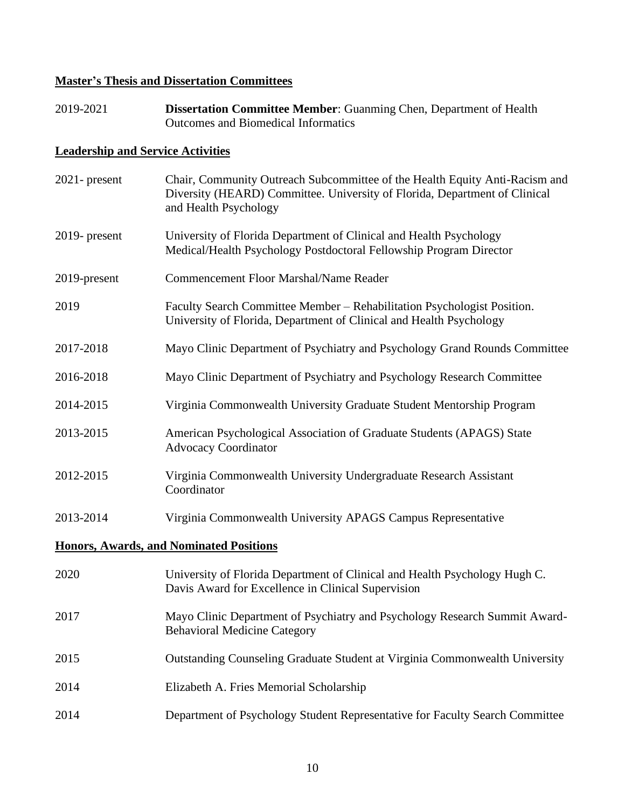# **Master's Thesis and Dissertation Committees**

2019-2021 **Dissertation Committee Member**: Guanming Chen, Department of Health Outcomes and Biomedical Informatics

# **Leadership and Service Activities**

| $2021$ - present                               | Chair, Community Outreach Subcommittee of the Health Equity Anti-Racism and<br>Diversity (HEARD) Committee. University of Florida, Department of Clinical<br>and Health Psychology |  |
|------------------------------------------------|------------------------------------------------------------------------------------------------------------------------------------------------------------------------------------|--|
| $2019$ - present                               | University of Florida Department of Clinical and Health Psychology<br>Medical/Health Psychology Postdoctoral Fellowship Program Director                                           |  |
| 2019-present                                   | Commencement Floor Marshal/Name Reader                                                                                                                                             |  |
| 2019                                           | Faculty Search Committee Member - Rehabilitation Psychologist Position.<br>University of Florida, Department of Clinical and Health Psychology                                     |  |
| 2017-2018                                      | Mayo Clinic Department of Psychiatry and Psychology Grand Rounds Committee                                                                                                         |  |
| 2016-2018                                      | Mayo Clinic Department of Psychiatry and Psychology Research Committee                                                                                                             |  |
| 2014-2015                                      | Virginia Commonwealth University Graduate Student Mentorship Program                                                                                                               |  |
| 2013-2015                                      | American Psychological Association of Graduate Students (APAGS) State<br><b>Advocacy Coordinator</b>                                                                               |  |
| 2012-2015                                      | Virginia Commonwealth University Undergraduate Research Assistant<br>Coordinator                                                                                                   |  |
| 2013-2014                                      | Virginia Commonwealth University APAGS Campus Representative                                                                                                                       |  |
| <b>Honors, Awards, and Nominated Positions</b> |                                                                                                                                                                                    |  |
| 2020                                           | University of Florida Department of Clinical and Health Psychology Hugh C.<br>Davis Award for Excellence in Clinical Supervision                                                   |  |
| 2017                                           | Mayo Clinic Department of Psychiatry and Psychology Research Summit Award-<br><b>Behavioral Medicine Category</b>                                                                  |  |
| 2015                                           | Outstanding Counseling Graduate Student at Virginia Commonwealth University                                                                                                        |  |
| 2014                                           | Elizabeth A. Fries Memorial Scholarship                                                                                                                                            |  |
| 2014                                           | Department of Psychology Student Representative for Faculty Search Committee                                                                                                       |  |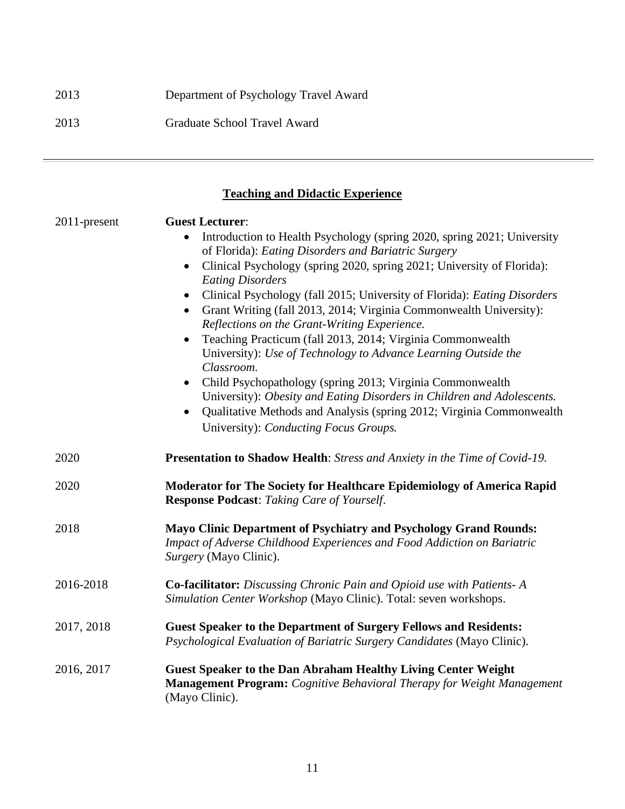# 2013 Department of Psychology Travel Award 2013 Graduate School Travel Award

**Teaching and Didactic Experience**

| 2011-present | <b>Guest Lecturer:</b><br>Introduction to Health Psychology (spring 2020, spring 2021; University<br>of Florida): Eating Disorders and Bariatric Surgery<br>Clinical Psychology (spring 2020, spring 2021; University of Florida):<br>$\bullet$<br><b>Eating Disorders</b><br>Clinical Psychology (fall 2015; University of Florida): Eating Disorders<br>$\bullet$<br>Grant Writing (fall 2013, 2014; Virginia Commonwealth University):<br>Reflections on the Grant-Writing Experience.<br>Teaching Practicum (fall 2013, 2014; Virginia Commonwealth<br>$\bullet$<br>University): Use of Technology to Advance Learning Outside the<br>Classroom.<br>Child Psychopathology (spring 2013; Virginia Commonwealth<br>$\bullet$<br>University): Obesity and Eating Disorders in Children and Adolescents.<br>Qualitative Methods and Analysis (spring 2012; Virginia Commonwealth<br>$\bullet$<br>University): Conducting Focus Groups. |
|--------------|----------------------------------------------------------------------------------------------------------------------------------------------------------------------------------------------------------------------------------------------------------------------------------------------------------------------------------------------------------------------------------------------------------------------------------------------------------------------------------------------------------------------------------------------------------------------------------------------------------------------------------------------------------------------------------------------------------------------------------------------------------------------------------------------------------------------------------------------------------------------------------------------------------------------------------------|
| 2020         | <b>Presentation to Shadow Health:</b> Stress and Anxiety in the Time of Covid-19.                                                                                                                                                                                                                                                                                                                                                                                                                                                                                                                                                                                                                                                                                                                                                                                                                                                      |
| 2020         | Moderator for The Society for Healthcare Epidemiology of America Rapid<br><b>Response Podcast:</b> Taking Care of Yourself.                                                                                                                                                                                                                                                                                                                                                                                                                                                                                                                                                                                                                                                                                                                                                                                                            |
| 2018         | Mayo Clinic Department of Psychiatry and Psychology Grand Rounds:<br>Impact of Adverse Childhood Experiences and Food Addiction on Bariatric<br>Surgery (Mayo Clinic).                                                                                                                                                                                                                                                                                                                                                                                                                                                                                                                                                                                                                                                                                                                                                                 |
| 2016-2018    | Co-facilitator: Discussing Chronic Pain and Opioid use with Patients- A<br>Simulation Center Workshop (Mayo Clinic). Total: seven workshops.                                                                                                                                                                                                                                                                                                                                                                                                                                                                                                                                                                                                                                                                                                                                                                                           |
| 2017, 2018   | <b>Guest Speaker to the Department of Surgery Fellows and Residents:</b><br>Psychological Evaluation of Bariatric Surgery Candidates (Mayo Clinic).                                                                                                                                                                                                                                                                                                                                                                                                                                                                                                                                                                                                                                                                                                                                                                                    |
| 2016, 2017   | <b>Guest Speaker to the Dan Abraham Healthy Living Center Weight</b><br><b>Management Program:</b> Cognitive Behavioral Therapy for Weight Management<br>(Mayo Clinic).                                                                                                                                                                                                                                                                                                                                                                                                                                                                                                                                                                                                                                                                                                                                                                |